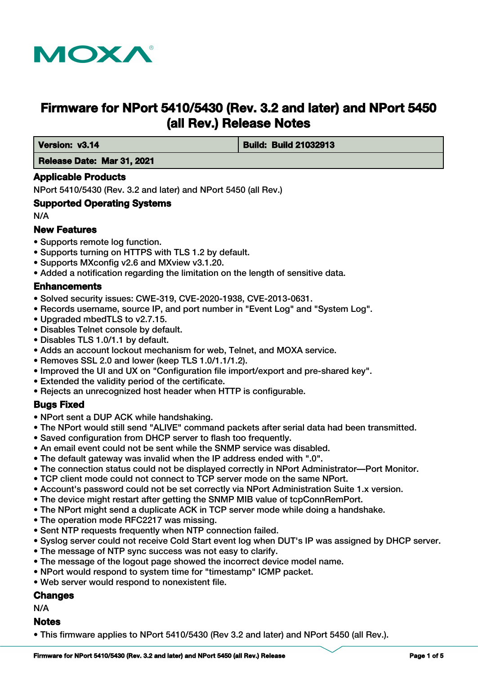

# **Firmware for NPort 5410/5430 (Rev. 3.2 and later) and NPort 5450 (all Rev.) Release Notes**

 **Version: v3.14 If the contract of the contract of Build: Build: Build 21032913** 

# **Release Date: Mar 31, 2021**

# **Applicable Products**

NPort 5410/5430 (Rev. 3.2 and later) and NPort 5450 (all Rev.)

#### **Supported Operating Systems**

N/A

# **New Features**

- Supports remote log function.
- Supports turning on HTTPS with TLS 1.2 by default.
- Supports MXconfig v2.6 and MXview v3.1.20.
- Added a notification regarding the limitation on the length of sensitive data.

# **Enhancements**

- Solved security issues: CWE-319, CVE-2020-1938, CVE-2013-0631.
- Records username, source IP, and port number in "Event Log" and "System Log".
- Upgraded mbedTLS to v2.7.15.
- Disables Telnet console by default.
- Disables TLS 1.0/1.1 by default.
- Adds an account lockout mechanism for web, Telnet, and MOXA service.
- Removes SSL 2.0 and lower (keep TLS 1.0/1.1/1.2).
- Improved the UI and UX on "Configuration file import/export and pre-shared key".
- Extended the validity period of the certificate.
- Rejects an unrecognized host header when HTTP is configurable.

#### **Bugs Fixed**

- NPort sent a DUP ACK while handshaking.
- The NPort would still send "ALIVE" command packets after serial data had been transmitted.
- Saved configuration from DHCP server to flash too frequently.
- An email event could not be sent while the SNMP service was disabled.
- The default gateway was invalid when the IP address ended with ".0".
- The connection status could not be displayed correctly in NPort Administrator—Port Monitor.
- TCP client mode could not connect to TCP server mode on the same NPort.
- Account's password could not be set correctly via NPort Administration Suite 1.x version.
- The device might restart after getting the SNMP MIB value of tcpConnRemPort.
- The NPort might send a duplicate ACK in TCP server mode while doing a handshake.
- The operation mode RFC2217 was missing.
- Sent NTP requests frequently when NTP connection failed.
- Syslog server could not receive Cold Start event log when DUT's IP was assigned by DHCP server.
- The message of NTP sync success was not easy to clarify.
- The message of the logout page showed the incorrect device model name.
- NPort would respond to system time for "timestamp" ICMP packet.
- Web server would respond to nonexistent file.

#### **Changes**

N/A

# **Notes**

• This firmware applies to NPort 5410/5430 (Rev 3.2 and later) and NPort 5450 (all Rev.).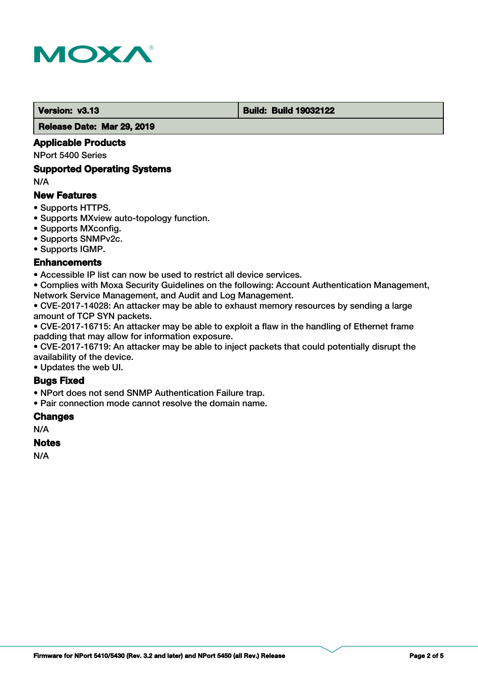

#### **Version: v3.13 Build: Build 19032122**

 **Release Date: Mar 29, 2019**

# **Applicable Products**

NPort 5400 Series

#### **Supported Operating Systems**

N/A

# **New Features**

- Supports HTTPS.
- Supports MXview auto-topology function.
- Supports MXconfig.
- Supports SNMPv2c.
- Supports IGMP.

# **Enhancements**

• Accessible IP list can now be used to restrict all device services.

• Complies with Moxa Security Guidelines on the following: Account Authentication Management, Network Service Management, and Audit and Log Management.

• CVE-2017-14028: An attacker may be able to exhaust memory resources by sending a large amount of TCP SYN packets.

• CVE-2017-16715: An attacker may be able to exploit a flaw in the handling of Ethernet frame padding that may allow for information exposure.

• CVE-2017-16719: An attacker may be able to inject packets that could potentially disrupt the availability of the device.

• Updates the web UI.

# **Bugs Fixed**

• NPort does not send SNMP Authentication Failure trap.

• Pair connection mode cannot resolve the domain name.

#### **Changes**

N/A

#### **Notes**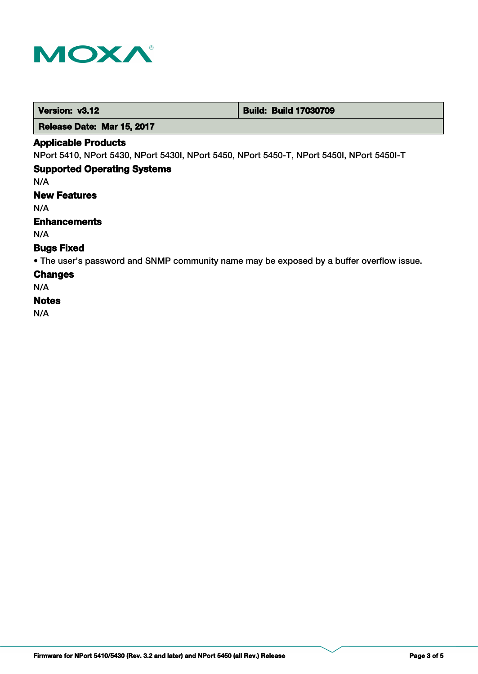

 **Version: v3.12 Build: Build: Build 17030709** 

 **Release Date: Mar 15, 2017**

## **Applicable Products**

NPort 5410, NPort 5430, NPort 5430I, NPort 5450, NPort 5450-T, NPort 5450I, NPort 5450I-T

# **Supported Operating Systems**

N/A

**New Features**

N/A

# **Enhancements**

N/A

# **Bugs Fixed**

• The user's password and SNMP community name may be exposed by a buffer overflow issue.

# **Changes**

N/A

# **Notes**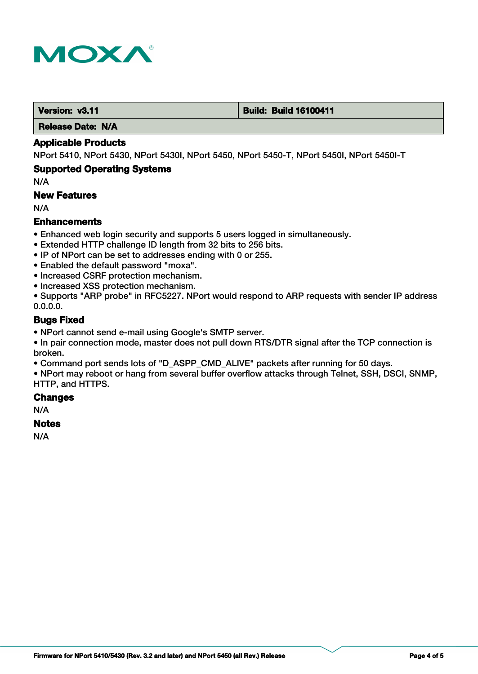

#### **Version: v3.11 Build: Build 16100411**

 **Release Date: N/A**

#### **Applicable Products**

NPort 5410, NPort 5430, NPort 5430I, NPort 5450, NPort 5450-T, NPort 5450I, NPort 5450I-T

# **Supported Operating Systems**

N/A

# **New Features**

N/A

# **Enhancements**

- Enhanced web login security and supports 5 users logged in simultaneously.
- Extended HTTP challenge ID length from 32 bits to 256 bits.
- IP of NPort can be set to addresses ending with 0 or 255.
- Enabled the default password "moxa".
- Increased CSRF protection mechanism.
- Increased XSS protection mechanism.
- Supports "ARP probe" in RFC5227. NPort would respond to ARP requests with sender IP address 0.0.0.0.

# **Bugs Fixed**

- NPort cannot send e-mail using Google's SMTP server.
- In pair connection mode, master does not pull down RTS/DTR signal after the TCP connection is broken.
- Command port sends lots of "D\_ASPP\_CMD\_ALIVE" packets after running for 50 days.
- NPort may reboot or hang from several buffer overflow attacks through Telnet, SSH, DSCI, SNMP, HTTP, and HTTPS.

#### **Changes**

N/A

#### **Notes**